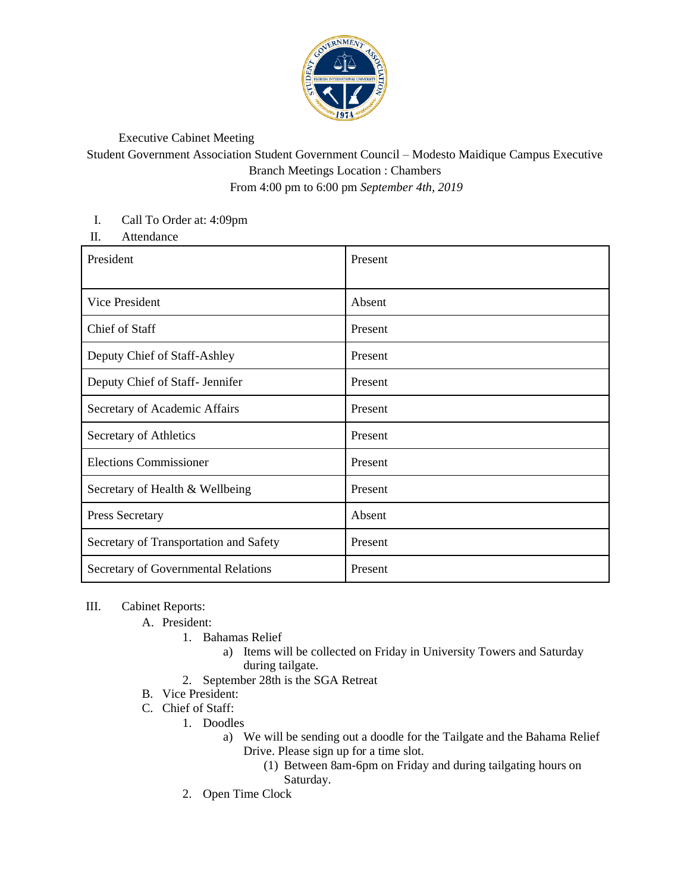

## Executive Cabinet Meeting

Student Government Association Student Government Council – Modesto Maidique Campus Executive Branch Meetings Location : Chambers From 4:00 pm to 6:00 pm *September 4th, 2019*

## I. Call To Order at: 4:09pm

II. Attendance

| President                              | Present |
|----------------------------------------|---------|
| Vice President                         | Absent  |
| Chief of Staff                         | Present |
| Deputy Chief of Staff-Ashley           | Present |
| Deputy Chief of Staff- Jennifer        | Present |
| Secretary of Academic Affairs          | Present |
| Secretary of Athletics                 | Present |
| <b>Elections Commissioner</b>          | Present |
| Secretary of Health & Wellbeing        | Present |
| <b>Press Secretary</b>                 | Absent  |
| Secretary of Transportation and Safety | Present |
| Secretary of Governmental Relations    | Present |

## III. Cabinet Reports:

A. President:

- 1. Bahamas Relief
	- a) Items will be collected on Friday in University Towers and Saturday during tailgate.
- 2. September 28th is the SGA Retreat
- B. Vice President:
- C. Chief of Staff:
	- 1. Doodles
		- a) We will be sending out a doodle for the Tailgate and the Bahama Relief Drive. Please sign up for a time slot.
			- (1) Between 8am-6pm on Friday and during tailgating hours on Saturday.
	- 2. Open Time Clock